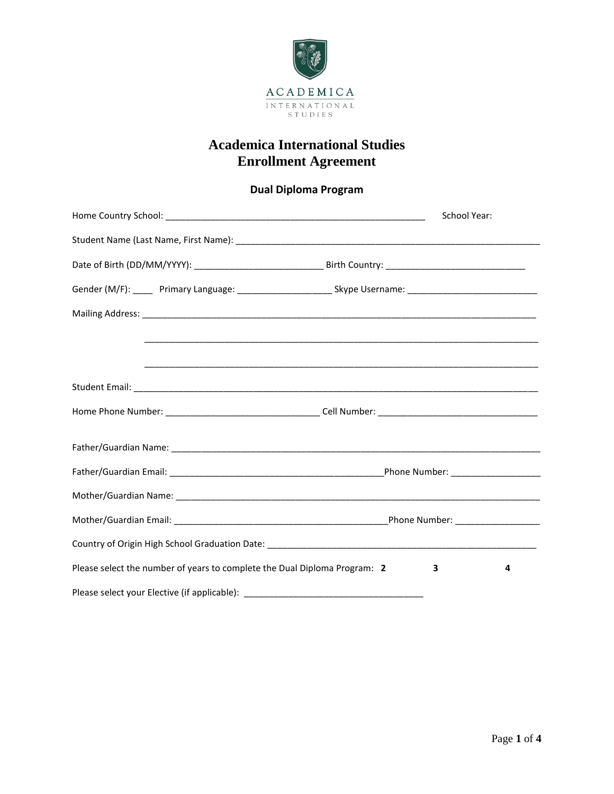

### **Dual Diploma Program**

|                                                                                  | School Year:                                                                                                   |
|----------------------------------------------------------------------------------|----------------------------------------------------------------------------------------------------------------|
|                                                                                  |                                                                                                                |
|                                                                                  |                                                                                                                |
|                                                                                  | Gender (M/F): _____ Primary Language: __________________________Skype Username: ______________________________ |
|                                                                                  |                                                                                                                |
|                                                                                  |                                                                                                                |
|                                                                                  |                                                                                                                |
|                                                                                  |                                                                                                                |
|                                                                                  |                                                                                                                |
|                                                                                  |                                                                                                                |
|                                                                                  |                                                                                                                |
|                                                                                  |                                                                                                                |
|                                                                                  |                                                                                                                |
| Please select the number of years to complete the Dual Diploma Program: 2        | 4<br>з                                                                                                         |
| Please select your Elective (if applicable): ___________________________________ |                                                                                                                |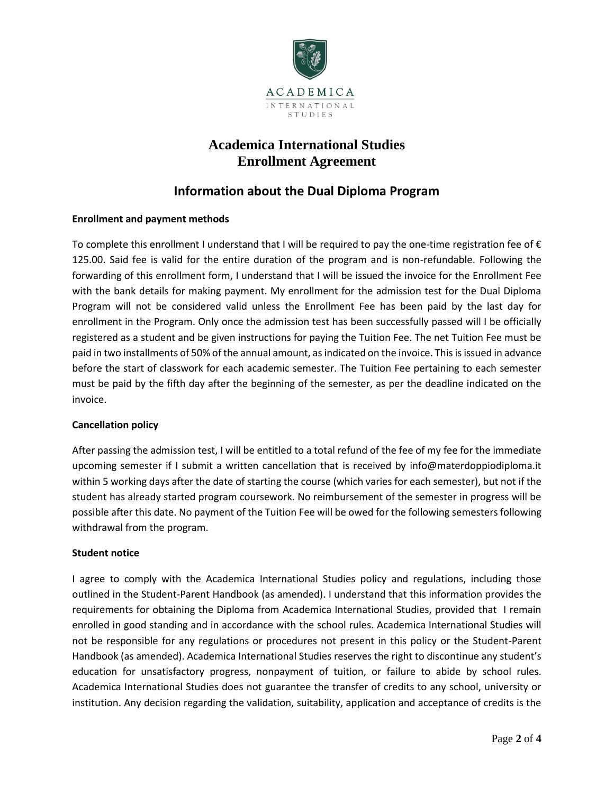

### **Information about the Dual Diploma Program**

#### **Enrollment and payment methods**

To complete this enrollment I understand that I will be required to pay the one-time registration fee of  $\epsilon$ 125.00. Said fee is valid for the entire duration of the program and is non-refundable. Following the forwarding of this enrollment form, I understand that I will be issued the invoice for the Enrollment Fee with the bank details for making payment. My enrollment for the admission test for the Dual Diploma Program will not be considered valid unless the Enrollment Fee has been paid by the last day for enrollment in the Program. Only once the admission test has been successfully passed will I be officially registered as a student and be given instructions for paying the Tuition Fee. The net Tuition Fee must be paid in two installments of 50% of the annual amount, as indicated on the invoice. This is issued in advance before the start of classwork for each academic semester. The Tuition Fee pertaining to each semester must be paid by the fifth day after the beginning of the semester, as per the deadline indicated on the invoice.

#### **Cancellation policy**

After passing the admission test, I will be entitled to a total refund of the fee of my fee for the immediate upcoming semester if I submit a written cancellation that is received by info@materdoppiodiploma.it within 5 working days after the date of starting the course (which varies for each semester), but not if the student has already started program coursework. No reimbursement of the semester in progress will be possible after this date. No payment of the Tuition Fee will be owed for the following semesters following withdrawal from the program.

#### **Student notice**

I agree to comply with the Academica International Studies policy and regulations, including those outlined in the Student-Parent Handbook (as amended). I understand that this information provides the requirements for obtaining the Diploma from Academica International Studies, provided that I remain enrolled in good standing and in accordance with the school rules. Academica International Studies will not be responsible for any regulations or procedures not present in this policy or the Student-Parent Handbook (as amended). Academica International Studies reserves the right to discontinue any student's education for unsatisfactory progress, nonpayment of tuition, or failure to abide by school rules. Academica International Studies does not guarantee the transfer of credits to any school, university or institution. Any decision regarding the validation, suitability, application and acceptance of credits is the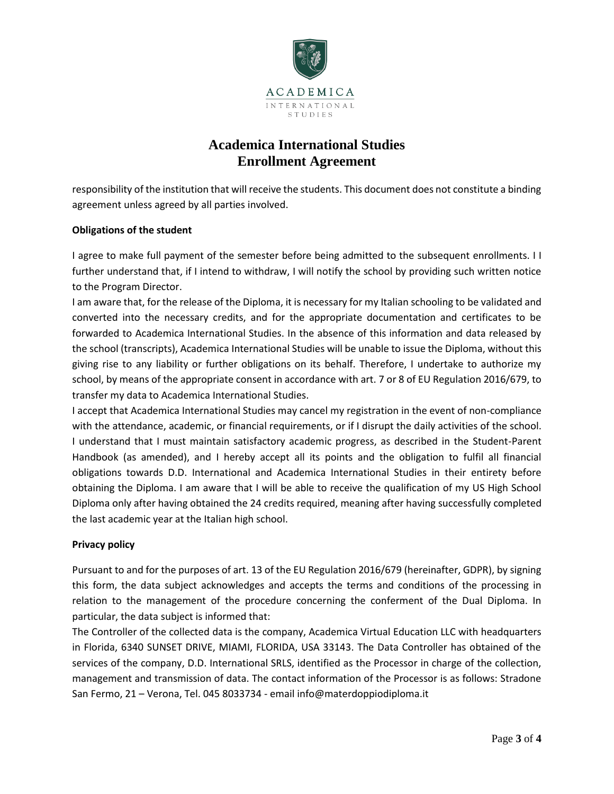

responsibility of the institution that will receive the students. This document does not constitute a binding agreement unless agreed by all parties involved.

#### **Obligations of the student**

I agree to make full payment of the semester before being admitted to the subsequent enrollments. I I further understand that, if I intend to withdraw, I will notify the school by providing such written notice to the Program Director.

I am aware that, for the release of the Diploma, it is necessary for my Italian schooling to be validated and converted into the necessary credits, and for the appropriate documentation and certificates to be forwarded to Academica International Studies. In the absence of this information and data released by the school (transcripts), Academica International Studies will be unable to issue the Diploma, without this giving rise to any liability or further obligations on its behalf. Therefore, I undertake to authorize my school, by means of the appropriate consent in accordance with art. 7 or 8 of EU Regulation 2016/679, to transfer my data to Academica International Studies.

I accept that Academica International Studies may cancel my registration in the event of non-compliance with the attendance, academic, or financial requirements, or if I disrupt the daily activities of the school. I understand that I must maintain satisfactory academic progress, as described in the Student-Parent Handbook (as amended), and I hereby accept all its points and the obligation to fulfil all financial obligations towards D.D. International and Academica International Studies in their entirety before obtaining the Diploma. I am aware that I will be able to receive the qualification of my US High School Diploma only after having obtained the 24 credits required, meaning after having successfully completed the last academic year at the Italian high school.

#### **Privacy policy**

Pursuant to and for the purposes of art. 13 of the EU Regulation 2016/679 (hereinafter, GDPR), by signing this form, the data subject acknowledges and accepts the terms and conditions of the processing in relation to the management of the procedure concerning the conferment of the Dual Diploma. In particular, the data subject is informed that:

The Controller of the collected data is the company, Academica Virtual Education LLC with headquarters in Florida, 6340 SUNSET DRIVE, MIAMI, FLORIDA, USA 33143. The Data Controller has obtained of the services of the company, D.D. International SRLS, identified as the Processor in charge of the collection, management and transmission of data. The contact information of the Processor is as follows: Stradone San Fermo, 21 – Verona, Tel. 045 8033734 - email info@materdoppiodiploma.it